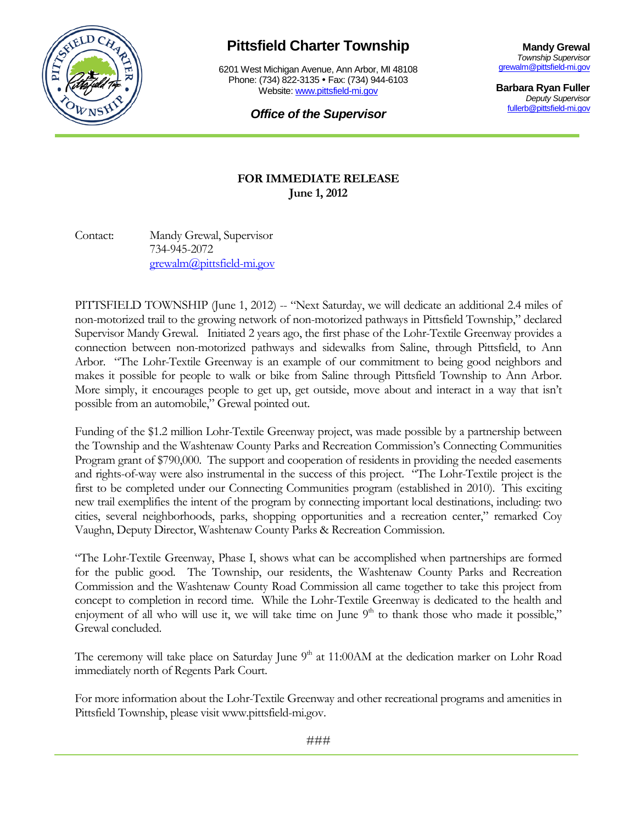

## **Pittsfield Charter Township**

6201 West Michigan Avenue, Ann Arbor, MI 48108 Phone: (734) 822-3135 • Fax: (734) 944-6103 Website: [www.pittsfield-mi.gov](http://www.pittsfield-mi.gov/)

**Mandy Grewal** *Township Supervisor* [grewalm@pittsfield-mi.gov](mailto:grewalm@pittsfield-mi.gov)

**Barbara Ryan Fuller** *Deputy Supervisor* [fullerb@pittsfield-mi.gov](mailto:grewalm@pittsfield-mi.gov)

*Office of the Supervisor*

## **FOR IMMEDIATE RELEASE June 1, 2012**

Contact: Mandy Grewal, Supervisor 734-945-2072 [grewalm@pittsfield-mi.gov](mailto:grewalm@pittsfield-mi.gov)

PITTSFIELD TOWNSHIP (June 1, 2012) -- "Next Saturday, we will dedicate an additional 2.4 miles of non-motorized trail to the growing network of non-motorized pathways in Pittsfield Township," declared Supervisor Mandy Grewal. Initiated 2 years ago, the first phase of the Lohr-Textile Greenway provides a connection between non-motorized pathways and sidewalks from Saline, through Pittsfield, to Ann Arbor. "The Lohr-Textile Greenway is an example of our commitment to being good neighbors and makes it possible for people to walk or bike from Saline through Pittsfield Township to Ann Arbor. More simply, it encourages people to get up, get outside, move about and interact in a way that isn't possible from an automobile," Grewal pointed out.

Funding of the \$1.2 million Lohr-Textile Greenway project, was made possible by a partnership between the Township and the Washtenaw County Parks and Recreation Commission's Connecting Communities Program grant of \$790,000. The support and cooperation of residents in providing the needed easements and rights-of-way were also instrumental in the success of this project. "The Lohr-Textile project is the first to be completed under our Connecting Communities program (established in 2010). This exciting new trail exemplifies the intent of the program by connecting important local destinations, including: two cities, several neighborhoods, parks, shopping opportunities and a recreation center," remarked Coy Vaughn, Deputy Director, Washtenaw County Parks & Recreation Commission.

"The Lohr-Textile Greenway, Phase I, shows what can be accomplished when partnerships are formed for the public good. The Township, our residents, the Washtenaw County Parks and Recreation Commission and the Washtenaw County Road Commission all came together to take this project from concept to completion in record time. While the Lohr-Textile Greenway is dedicated to the health and enjoyment of all who will use it, we will take time on June  $9<sup>th</sup>$  to thank those who made it possible," Grewal concluded.

The ceremony will take place on Saturday June  $9<sup>th</sup>$  at 11:00AM at the dedication marker on Lohr Road immediately north of Regents Park Court.

For more information about the Lohr-Textile Greenway and other recreational programs and amenities in Pittsfield Township, please visit www.pittsfield-mi.gov.